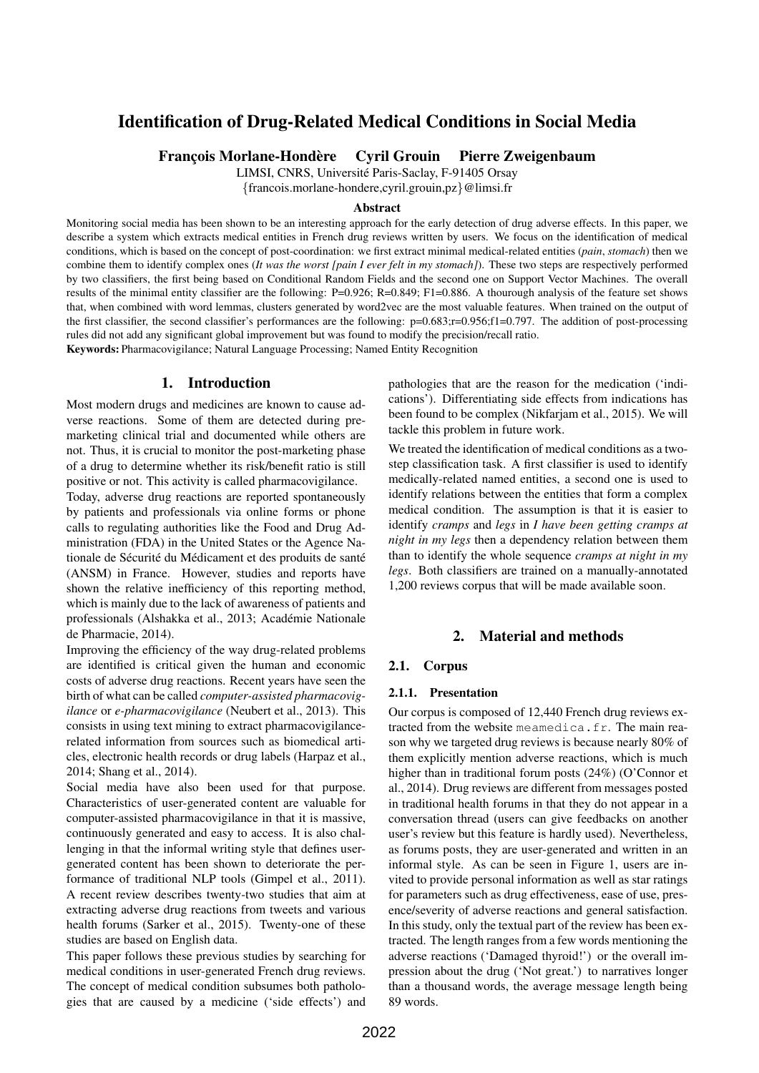# Identification of Drug-Related Medical Conditions in Social Media

Francois Morlane-Hondère Cyril Grouin Pierre Zweigenbaum

LIMSI, CNRS, Université Paris-Saclay, F-91405 Orsay

{francois.morlane-hondere,cyril.grouin,pz}@limsi.fr

#### Abstract

Monitoring social media has been shown to be an interesting approach for the early detection of drug adverse effects. In this paper, we describe a system which extracts medical entities in French drug reviews written by users. We focus on the identification of medical conditions, which is based on the concept of post-coordination: we first extract minimal medical-related entities (*pain*, *stomach*) then we combine them to identify complex ones (*It was the worst [pain I ever felt in my stomach]*). These two steps are respectively performed by two classifiers, the first being based on Conditional Random Fields and the second one on Support Vector Machines. The overall results of the minimal entity classifier are the following: P=0.926; R=0.849; F1=0.886. A thourough analysis of the feature set shows that, when combined with word lemmas, clusters generated by word2vec are the most valuable features. When trained on the output of the first classifier, the second classifier's performances are the following: p=0.683;r=0.956;f1=0.797. The addition of post-processing rules did not add any significant global improvement but was found to modify the precision/recall ratio. Keywords: Pharmacovigilance; Natural Language Processing; Named Entity Recognition

# 1. Introduction

Most modern drugs and medicines are known to cause adverse reactions. Some of them are detected during premarketing clinical trial and documented while others are not. Thus, it is crucial to monitor the post-marketing phase of a drug to determine whether its risk/benefit ratio is still positive or not. This activity is called pharmacovigilance.

Today, adverse drug reactions are reported spontaneously by patients and professionals via online forms or phone calls to regulating authorities like the Food and Drug Administration (FDA) in the United States or the Agence Nationale de Sécurité du Médicament et des produits de santé (ANSM) in France. However, studies and reports have shown the relative inefficiency of this reporting method, which is mainly due to the lack of awareness of patients and professionals (Alshakka et al., 2013; Académie Nationale de Pharmacie, 2014).

Improving the efficiency of the way drug-related problems are identified is critical given the human and economic costs of adverse drug reactions. Recent years have seen the birth of what can be called *computer-assisted pharmacovigilance* or *e-pharmacovigilance* (Neubert et al., 2013). This consists in using text mining to extract pharmacovigilancerelated information from sources such as biomedical articles, electronic health records or drug labels (Harpaz et al., 2014; Shang et al., 2014).

Social media have also been used for that purpose. Characteristics of user-generated content are valuable for computer-assisted pharmacovigilance in that it is massive, continuously generated and easy to access. It is also challenging in that the informal writing style that defines usergenerated content has been shown to deteriorate the performance of traditional NLP tools (Gimpel et al., 2011). A recent review describes twenty-two studies that aim at extracting adverse drug reactions from tweets and various health forums (Sarker et al., 2015). Twenty-one of these studies are based on English data.

This paper follows these previous studies by searching for medical conditions in user-generated French drug reviews. The concept of medical condition subsumes both pathologies that are caused by a medicine ('side effects') and pathologies that are the reason for the medication ('indications'). Differentiating side effects from indications has been found to be complex (Nikfarjam et al., 2015). We will tackle this problem in future work.

We treated the identification of medical conditions as a twostep classification task. A first classifier is used to identify medically-related named entities, a second one is used to identify relations between the entities that form a complex medical condition. The assumption is that it is easier to identify *cramps* and *legs* in *I have been getting cramps at night in my legs* then a dependency relation between them than to identify the whole sequence *cramps at night in my legs*. Both classifiers are trained on a manually-annotated 1,200 reviews corpus that will be made available soon.

## 2. Material and methods

### 2.1. Corpus

#### 2.1.1. Presentation

Our corpus is composed of 12,440 French drug reviews extracted from the website meamedica.fr. The main reason why we targeted drug reviews is because nearly 80% of them explicitly mention adverse reactions, which is much higher than in traditional forum posts (24%) (O'Connor et al., 2014). Drug reviews are different from messages posted in traditional health forums in that they do not appear in a conversation thread (users can give feedbacks on another user's review but this feature is hardly used). Nevertheless, as forums posts, they are user-generated and written in an informal style. As can be seen in Figure 1, users are invited to provide personal information as well as star ratings for parameters such as drug effectiveness, ease of use, presence/severity of adverse reactions and general satisfaction. In this study, only the textual part of the review has been extracted. The length ranges from a few words mentioning the adverse reactions ('Damaged thyroid!') or the overall impression about the drug ('Not great.') to narratives longer than a thousand words, the average message length being 89 words.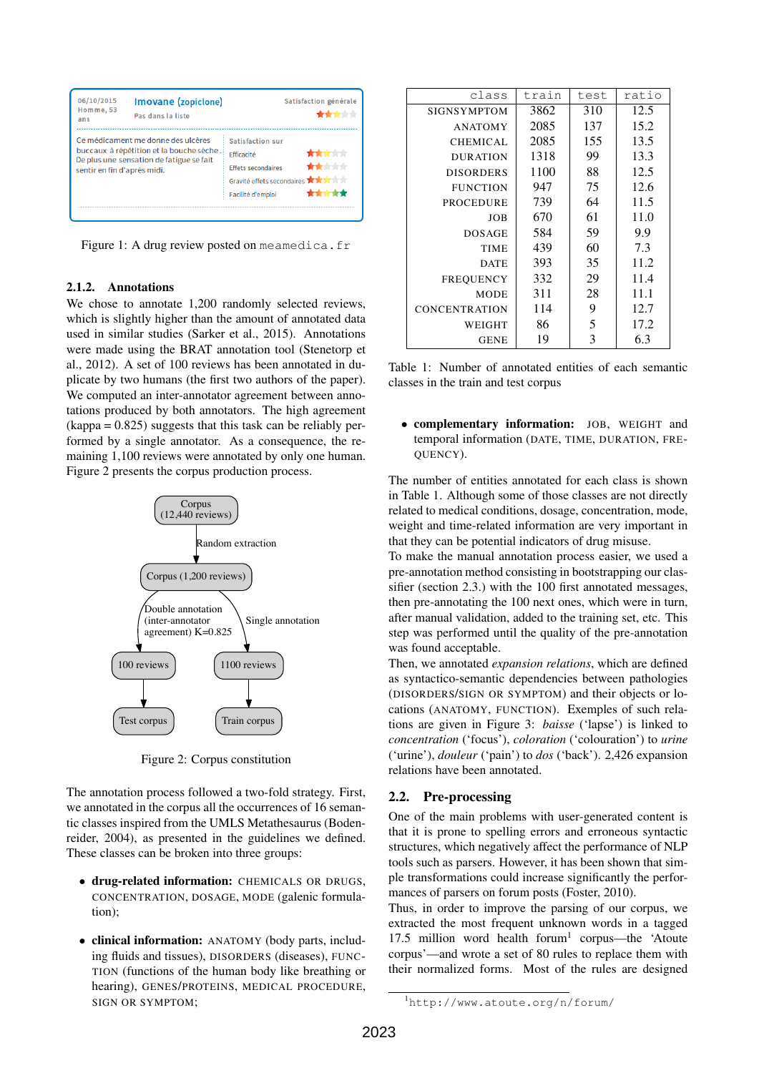| 06/10/2015<br>Homme, 53<br>ans                                                                                                                            | Imovane (zopiclone)<br>Pas dans la liste | Satisfaction générale<br>大大大大大                                                                                                                                                                |  |  |
|-----------------------------------------------------------------------------------------------------------------------------------------------------------|------------------------------------------|-----------------------------------------------------------------------------------------------------------------------------------------------------------------------------------------------|--|--|
| Ce médicament me donne des ulcères<br>buccaux à répétition et la bouche sèche.<br>De plus une sensation de fatigue se fait<br>sentir en fin d'après midi. |                                          | Satisfaction sur<br><del>standardi</del> sin de<br>Efficacité<br><b>State Control</b><br><b>Effets secondaires</b><br>Gravité effets secondaires <b>A A A</b> A<br>*****<br>Facilité d'emploi |  |  |
|                                                                                                                                                           |                                          |                                                                                                                                                                                               |  |  |

Figure 1: A drug review posted on meamedica.fr

### 2.1.2. Annotations

We chose to annotate 1,200 randomly selected reviews, which is slightly higher than the amount of annotated data used in similar studies (Sarker et al., 2015). Annotations were made using the BRAT annotation tool (Stenetorp et al., 2012). A set of 100 reviews has been annotated in duplicate by two humans (the first two authors of the paper). We computed an inter-annotator agreement between annotations produced by both annotators. The high agreement  $(kappa = 0.825)$  suggests that this task can be reliably performed by a single annotator. As a consequence, the remaining 1,100 reviews were annotated by only one human. Figure 2 presents the corpus production process.



Figure 2: Corpus constitution

The annotation process followed a two-fold strategy. First, we annotated in the corpus all the occurrences of 16 semantic classes inspired from the UMLS Metathesaurus (Bodenreider, 2004), as presented in the guidelines we defined. These classes can be broken into three groups:

- drug-related information: CHEMICALS OR DRUGS, CONCENTRATION, DOSAGE, MODE (galenic formulation);
- clinical information: ANATOMY (body parts, including fluids and tissues), DISORDERS (diseases), FUNC-TION (functions of the human body like breathing or hearing), GENES/PROTEINS, MEDICAL PROCEDURE, SIGN OR SYMPTOM;

| class                | train | test | ratio |
|----------------------|-------|------|-------|
| <b>SIGNSYMPTOM</b>   | 3862  | 310  | 12.5  |
| <b>ANATOMY</b>       | 2085  | 137  | 15.2  |
| <b>CHEMICAL</b>      | 2085  | 155  | 13.5  |
| <b>DURATION</b>      | 1318  | 99   | 13.3  |
| <b>DISORDERS</b>     | 1100  | 88   | 12.5  |
| <b>FUNCTION</b>      | 947   | 75   | 12.6  |
| PROCEDURE            | 739   | 64   | 11.5  |
| <b>JOB</b>           | 670   | 61   | 11.0  |
| <b>DOSAGE</b>        | 584   | 59   | 9.9   |
| <b>TIME</b>          | 439   | 60   | 7.3   |
| <b>DATE</b>          | 393   | 35   | 11.2  |
| <b>FREOUENCY</b>     | 332   | 29   | 11.4  |
| <b>MODE</b>          | 311   | 28   | 11.1  |
| <b>CONCENTRATION</b> | 114   | 9    | 12.7  |
| WEIGHT               | 86    | 5    | 17.2  |
| <b>GENE</b>          | 19    | 3    | 6.3   |

Table 1: Number of annotated entities of each semantic classes in the train and test corpus

• complementary information: JOB, WEIGHT and temporal information (DATE, TIME, DURATION, FRE-QUENCY).

The number of entities annotated for each class is shown in Table 1. Although some of those classes are not directly related to medical conditions, dosage, concentration, mode, weight and time-related information are very important in that they can be potential indicators of drug misuse.

To make the manual annotation process easier, we used a pre-annotation method consisting in bootstrapping our classifier (section 2.3.) with the 100 first annotated messages, then pre-annotating the 100 next ones, which were in turn, after manual validation, added to the training set, etc. This step was performed until the quality of the pre-annotation was found acceptable.

Then, we annotated *expansion relations*, which are defined as syntactico-semantic dependencies between pathologies (DISORDERS/SIGN OR SYMPTOM) and their objects or locations (ANATOMY, FUNCTION). Exemples of such relations are given in Figure 3: *baisse* ('lapse') is linked to *concentration* ('focus'), *coloration* ('colouration') to *urine* ('urine'), *douleur* ('pain') to *dos* ('back'). 2,426 expansion relations have been annotated.

#### 2.2. Pre-processing

One of the main problems with user-generated content is that it is prone to spelling errors and erroneous syntactic structures, which negatively affect the performance of NLP tools such as parsers. However, it has been shown that simple transformations could increase significantly the performances of parsers on forum posts (Foster, 2010).

Thus, in order to improve the parsing of our corpus, we extracted the most frequent unknown words in a tagged 17.5 million word health forum<sup>1</sup> corpus—the 'Atoute corpus'—and wrote a set of 80 rules to replace them with their normalized forms. Most of the rules are designed

<sup>1</sup>http://www.atoute.org/n/forum/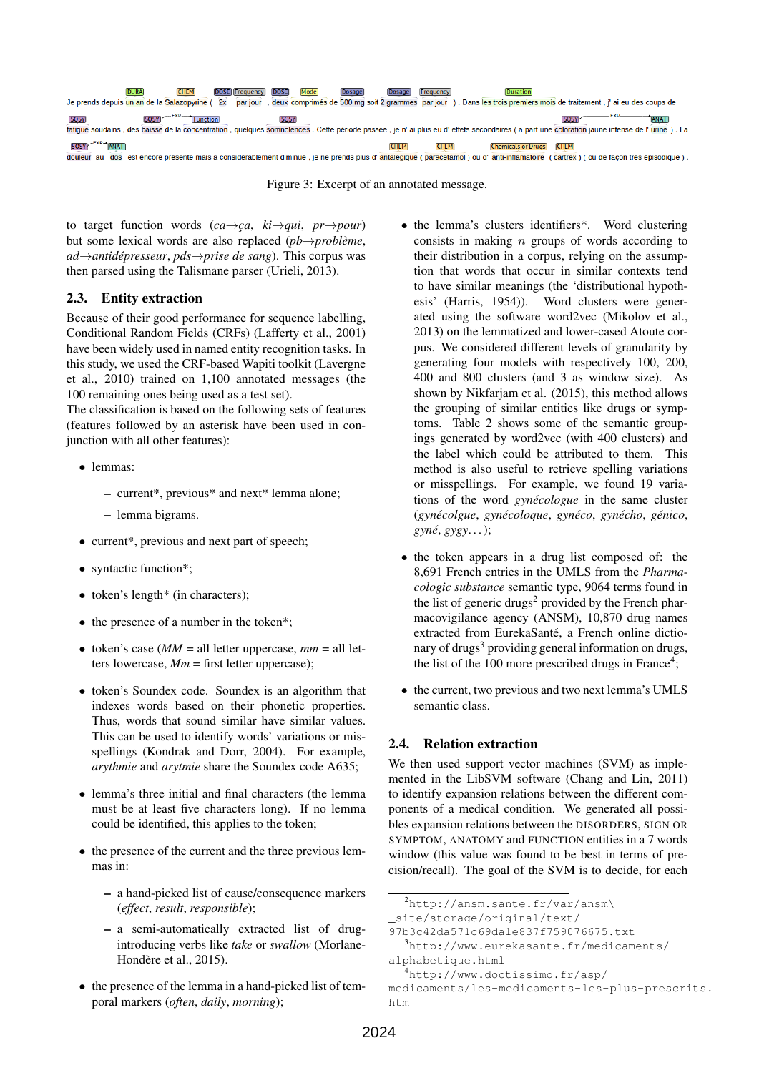

Figure 3: Excerpt of an annotated message.

to target function words  $(ca \rightarrow ca, ki \rightarrow qui, pr \rightarrow pour)$ but some lexical words are also replaced (*pb*→*probleme `* , *ad*→*antidepresseur ´* , *pds*→*prise de sang*). This corpus was then parsed using the Talismane parser (Urieli, 2013).

# 2.3. Entity extraction

Because of their good performance for sequence labelling. Conditional Random Fields (CRFs) (Lafferty et al., 2001) have been widely used in named entity recognition tasks. In this study, we used the CRF-based Wapiti toolkit (Lavergne et al., 2010) trained on 1,100 annotated messages (the 100 remaining ones being used as a test set).

The classification is based on the following sets of features (features followed by an asterisk have been used in conjunction with all other features):

- lemmas:
	- current\*, previous\* and next\* lemma alone;
	- lemma bigrams.
- current\*, previous and next part of speech;
- syntactic function\*;
- token's length\* (in characters);
- the presence of a number in the token\*;
- token's case  $(MM = \text{all} \text{ letter uppercase}, \text{mm} = \text{all} \text{ let}$ ters lowercase,  $Mm =$  first letter uppercase);
- token's Soundex code. Soundex is an algorithm that indexes words based on their phonetic properties. Thus, words that sound similar have similar values. This can be used to identify words' variations or misspellings (Kondrak and Dorr, 2004). For example, *arythmie* and *arytmie* share the Soundex code A635;
- lemma's three initial and final characters (the lemma must be at least five characters long). If no lemma could be identified, this applies to the token;
- the presence of the current and the three previous lemmas in:
	- a hand-picked list of cause/consequence markers (*effect*, *result*, *responsible*);
	- a semi-automatically extracted list of drugintroducing verbs like *take* or *swallow* (Morlane-Hondère et al., 2015).
- the presence of the lemma in a hand-picked list of temporal markers (*often*, *daily*, *morning*);
- the lemma's clusters identifiers<sup>\*</sup>. Word clustering consists in making  $n$  groups of words according to their distribution in a corpus, relying on the assumption that words that occur in similar contexts tend to have similar meanings (the 'distributional hypothesis' (Harris, 1954)). Word clusters were generated using the software word2vec (Mikolov et al., 2013) on the lemmatized and lower-cased Atoute corpus. We considered different levels of granularity by generating four models with respectively 100, 200, 400 and 800 clusters (and 3 as window size). As shown by Nikfarjam et al. (2015), this method allows the grouping of similar entities like drugs or symptoms. Table 2 shows some of the semantic groupings generated by word2vec (with 400 clusters) and the label which could be attributed to them. This method is also useful to retrieve spelling variations or misspellings. For example, we found 19 variations of the word *gynécologue* in the same cluster (*gynecolgue ´* , *gynecoloque ´* , *gyneco ´* , *gynecho ´* , *genico ´* , *gyne´*, *gygy*. . . );
- the token appears in a drug list composed of: the 8,691 French entries in the UMLS from the *Pharmacologic substance* semantic type, 9064 terms found in the list of generic drugs<sup>2</sup> provided by the French pharmacovigilance agency (ANSM), 10,870 drug names extracted from EurekaSanté, a French online dictionary of drugs<sup>3</sup> providing general information on drugs, the list of the  $100$  more prescribed drugs in France<sup>4</sup>;
- the current, two previous and two next lemma's UMLS semantic class.

### 2.4. Relation extraction

We then used support vector machines (SVM) as implemented in the LibSVM software (Chang and Lin, 2011) to identify expansion relations between the different components of a medical condition. We generated all possibles expansion relations between the DISORDERS, SIGN OR SYMPTOM, ANATOMY and FUNCTION entities in a 7 words window (this value was found to be best in terms of precision/recall). The goal of the SVM is to decide, for each

<sup>2</sup>http://ansm.sante.fr/var/ansm\

\_site/storage/original/text/

<sup>97</sup>b3c42da571c69da1e837f759076675.txt

<sup>3</sup>http://www.eurekasante.fr/medicaments/ alphabetique.html

<sup>4</sup>http://www.doctissimo.fr/asp/

medicaments/les-medicaments-les-plus-prescrits. htm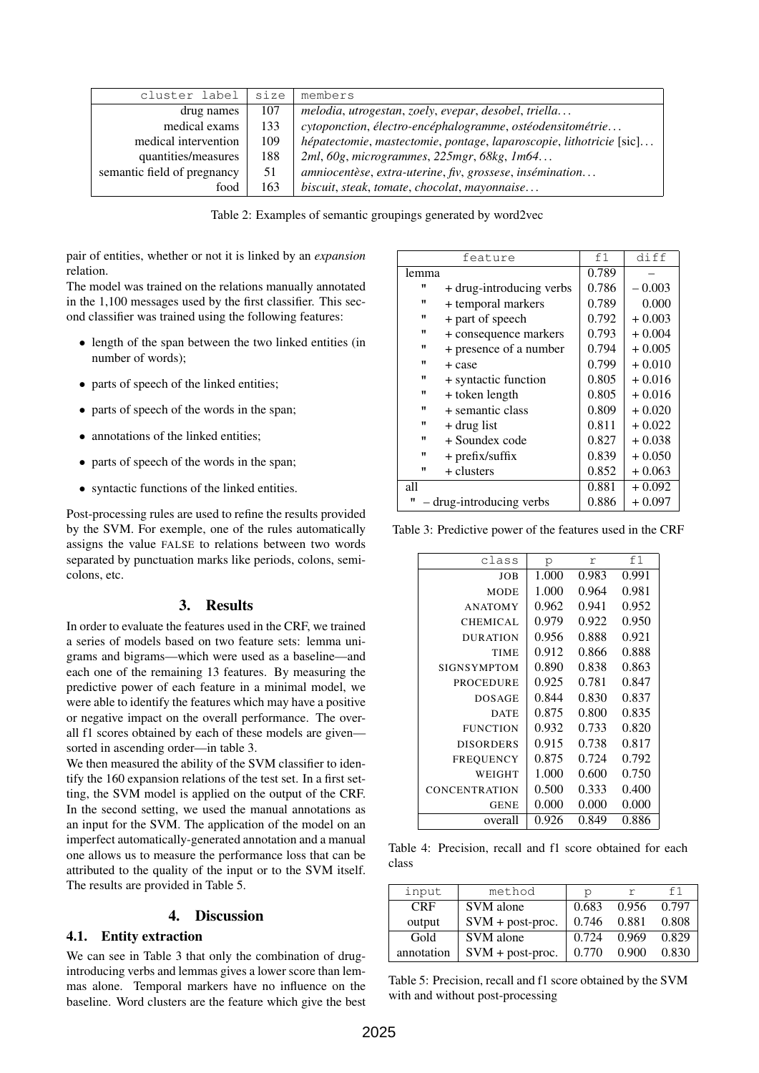| cluster label               | size | members                                                             |  |
|-----------------------------|------|---------------------------------------------------------------------|--|
| 107<br>drug names           |      | melodia, utrogestan, zoely, evepar, desobel, triella                |  |
| medical exams               | 133  | cytoponction, électro-encéphalogramme, ostéodensitométrie           |  |
| medical intervention        | 109  | hépatectomie, mastectomie, pontage, laparoscopie, lithotricie [sic] |  |
| quantities/measures         | 188  | 2ml, 60g, microgrammes, 225mgr, 68kg, 1m64                          |  |
| semantic field of pregnancy | 51   | amniocentèse, extra-uterine, fiv, grossese, insémination            |  |
| food                        | 163  | biscuit, steak, tomate, chocolat, mayonnaise                        |  |

Table 2: Examples of semantic groupings generated by word2vec

pair of entities, whether or not it is linked by an *expansion* relation.

The model was trained on the relations manually annotated in the 1,100 messages used by the first classifier. This second classifier was trained using the following features:

- length of the span between the two linked entities (in number of words);
- parts of speech of the linked entities;
- parts of speech of the words in the span;
- annotations of the linked entities;
- parts of speech of the words in the span;
- syntactic functions of the linked entities.

Post-processing rules are used to refine the results provided by the SVM. For exemple, one of the rules automatically assigns the value FALSE to relations between two words separated by punctuation marks like periods, colons, semicolons, etc.

# 3. Results

In order to evaluate the features used in the CRF, we trained a series of models based on two feature sets: lemma unigrams and bigrams—which were used as a baseline—and each one of the remaining 13 features. By measuring the predictive power of each feature in a minimal model, we were able to identify the features which may have a positive or negative impact on the overall performance. The overall f1 scores obtained by each of these models are given sorted in ascending order—in table 3.

We then measured the ability of the SVM classifier to identify the 160 expansion relations of the test set. In a first setting, the SVM model is applied on the output of the CRF. In the second setting, we used the manual annotations as an input for the SVM. The application of the model on an imperfect automatically-generated annotation and a manual one allows us to measure the performance loss that can be attributed to the quality of the input or to the SVM itself. The results are provided in Table 5.

# 4. Discussion

# 4.1. Entity extraction

We can see in Table 3 that only the combination of drugintroducing verbs and lemmas gives a lower score than lemmas alone. Temporal markers have no influence on the baseline. Word clusters are the feature which give the best

|                               | feature                  | f1    | diff     |
|-------------------------------|--------------------------|-------|----------|
| lemma                         |                          | 0.789 |          |
| π                             | + drug-introducing verbs | 0.786 | $-0.003$ |
| $\mathbf{H}$                  | + temporal markers       | 0.789 | 0.000    |
| $\mathbf{H}$                  | + part of speech         | 0.792 | $+0.003$ |
| $\mathbf{u}$                  | + consequence markers    | 0.793 | $+0.004$ |
| π                             | + presence of a number   | 0.794 | $+0.005$ |
| $^{\prime\prime}$             | + case                   | 0.799 | $+0.010$ |
| π                             | + syntactic function     | 0.805 | $+0.016$ |
| $\mathbf{H}$                  | + token length           | 0.805 | $+0.016$ |
| $^{\prime\prime}$             | + semantic class         | 0.809 | $+0.020$ |
| $^{\prime\prime}$             | + drug list              | 0.811 | $+0.022$ |
| $\mathbf{H}$                  | + Soundex code           | 0.827 | $+0.038$ |
| $\mathbf{H}$                  | $+$ prefix/suffix        | 0.839 | $+0.050$ |
| $^{\prime\prime}$             | + clusters               | 0.852 | $+0.063$ |
| all                           |                          | 0.881 | $+0.092$ |
| - drug-introducing verbs<br>π |                          | 0.886 | $+0.097$ |

Table 3: Predictive power of the features used in the CRF

| class                | p     | r     | f1    |
|----------------------|-------|-------|-------|
| JOB                  | 1.000 | 0.983 | 0.991 |
| MODE                 | 1.000 | 0.964 | 0.981 |
| <b>ANATOMY</b>       | 0.962 | 0.941 | 0.952 |
| <b>CHEMICAL</b>      | 0.979 | 0.922 | 0.950 |
| <b>DURATION</b>      | 0.956 | 0.888 | 0.921 |
| TIME                 | 0.912 | 0.866 | 0.888 |
| <b>SIGNSYMPTOM</b>   | 0.890 | 0.838 | 0.863 |
| PROCEDURE            | 0.925 | 0.781 | 0.847 |
| <b>DOSAGE</b>        | 0.844 | 0.830 | 0.837 |
| <b>DATE</b>          | 0.875 | 0.800 | 0.835 |
| <b>FUNCTION</b>      | 0.932 | 0.733 | 0.820 |
| <b>DISORDERS</b>     | 0.915 | 0.738 | 0.817 |
| <b>FREQUENCY</b>     | 0.875 | 0.724 | 0.792 |
| WEIGHT               | 1.000 | 0.600 | 0.750 |
| <b>CONCENTRATION</b> | 0.500 | 0.333 | 0.400 |
| <b>GENE</b>          | 0.000 | 0.000 | 0.000 |
| overall              | 0.926 | 0.849 | 0.886 |

Table 4: Precision, recall and f1 score obtained for each class

| input      | method             | r     |       | f 1   |
|------------|--------------------|-------|-------|-------|
| <b>CRF</b> | SVM alone          | 0.683 | 0.956 | 0.797 |
| output     | $SVM + post-proc.$ | 0.746 | 0.881 | 0.808 |
| Gold       | SVM alone          | 0.724 | 0.969 | 0.829 |
| annotation | $SVM + post-proc.$ | 0.770 | 0.900 | 0.830 |

Table 5: Precision, recall and f1 score obtained by the SVM with and without post-processing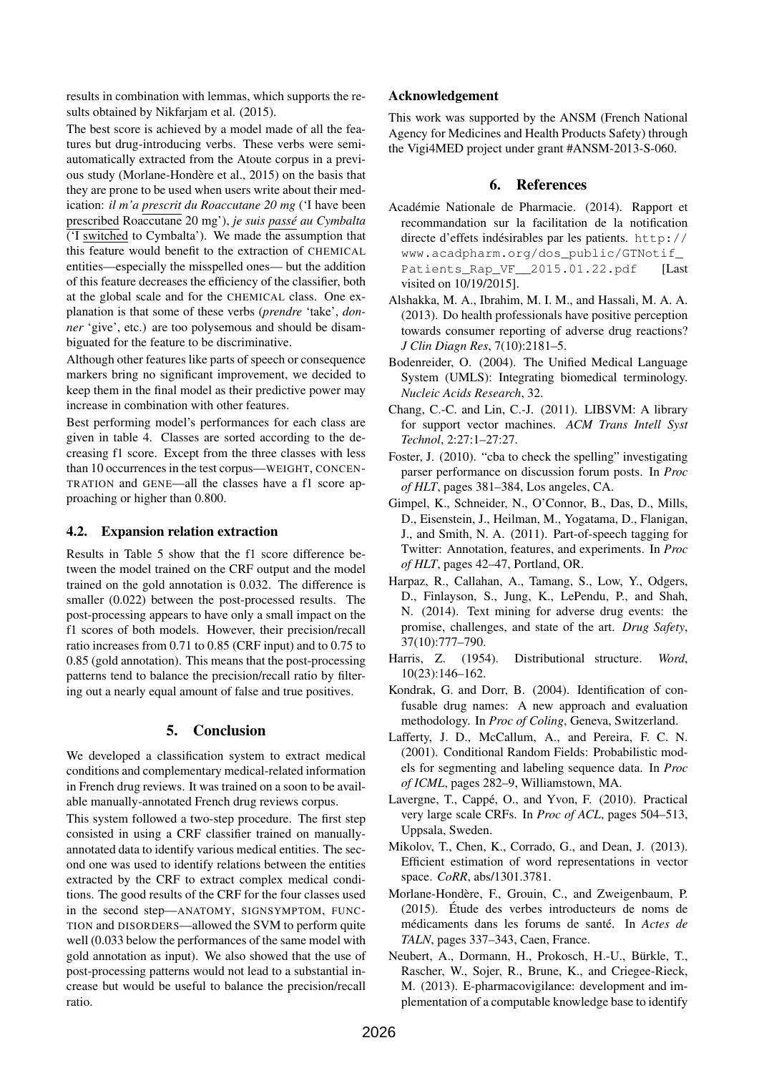results in combination with lemmas, which supports the results obtained by Nikfarjam et al. (2015).

The best score is achieved by a model made of all the features but drug-introducing verbs. These verbs were semiautomatically extracted from the Atoute corpus in a previous study (Morlane-Hondère et al., 2015) on the basis that they are prone to be used when users write about their medication: *il m'a prescrit du Roaccutane 20 mg* ('I have been prescribed Roaccutane 20 mg'), *je suis passe´ au Cymbalta*  $(T$  switched to Cymbalta'). We made the assumption that this feature would benefit to the extraction of CHEMICAL entities—especially the misspelled ones— but the addition of this feature decreases the efficiency of the classifier, both at the global scale and for the CHEMICAL class. One explanation is that some of these verbs (*prendre* 'take', *donner* 'give', etc.) are too polysemous and should be disambiguated for the feature to be discriminative.

Although other features like parts of speech or consequence markers bring no significant improvement, we decided to keep them in the final model as their predictive power may increase in combination with other features.

Best performing model's performances for each class are given in table 4. Classes are sorted according to the decreasing f1 score. Except from the three classes with less than 10 occurrences in the test corpus—WEIGHT, CONCEN-TRATION and GENE—all the classes have a f1 score approaching or higher than 0.800.

# 4.2. Expansion relation extraction

Results in Table 5 show that the f1 score difference between the model trained on the CRF output and the model trained on the gold annotation is 0.032. The difference is smaller (0.022) between the post-processed results. The post-processing appears to have only a small impact on the f1 scores of both models. However, their precision/recall ratio increases from 0.71 to 0.85 (CRF input) and to 0.75 to 0.85 (gold annotation). This means that the post-processing patterns tend to balance the precision/recall ratio by filtering out a nearly equal amount of false and true positives.

# 5. Conclusion

We developed a classification system to extract medical conditions and complementary medical-related information in French drug reviews. It was trained on a soon to be available manually-annotated French drug reviews corpus.

This system followed a two-step procedure. The first step consisted in using a CRF classifier trained on manuallyannotated data to identify various medical entities. The second one was used to identify relations between the entities extracted by the CRF to extract complex medical conditions. The good results of the CRF for the four classes used in the second step—ANATOMY, SIGNSYMPTOM, FUNC-TION and DISORDERS—allowed the SVM to perform quite well (0.033 below the performances of the same model with gold annotation as input). We also showed that the use of post-processing patterns would not lead to a substantial increase but would be useful to balance the precision/recall ratio.

# Acknowledgement

This work was supported by the ANSM (French National Agency for Medicines and Health Products Safety) through the Vigi4MED project under grant #ANSM-2013-S-060.

# 6. References

- Académie Nationale de Pharmacie. (2014). Rapport et recommandation sur la facilitation de la notification directe d'effets indésirables par les patients.  $h \text{ttp}:$ // www.acadpharm.org/dos\_public/GTNotif\_ Patients\_Rap\_VF\_2015.01.22.pdf [Last visited on 10/19/2015].
- Alshakka, M. A., Ibrahim, M. I. M., and Hassali, M. A. A. (2013). Do health professionals have positive perception towards consumer reporting of adverse drug reactions? *J Clin Diagn Res*, 7(10):2181–5.
- Bodenreider, O. (2004). The Unified Medical Language System (UMLS): Integrating biomedical terminology. *Nucleic Acids Research*, 32.
- Chang, C.-C. and Lin, C.-J. (2011). LIBSVM: A library for support vector machines. *ACM Trans Intell Syst Technol*, 2:27:1–27:27.
- Foster, J. (2010). "cba to check the spelling" investigating parser performance on discussion forum posts. In *Proc of HLT*, pages 381–384, Los angeles, CA.
- Gimpel, K., Schneider, N., O'Connor, B., Das, D., Mills, D., Eisenstein, J., Heilman, M., Yogatama, D., Flanigan, J., and Smith, N. A. (2011). Part-of-speech tagging for Twitter: Annotation, features, and experiments. In *Proc of HLT*, pages 42–47, Portland, OR.
- Harpaz, R., Callahan, A., Tamang, S., Low, Y., Odgers, D., Finlayson, S., Jung, K., LePendu, P., and Shah, N. (2014). Text mining for adverse drug events: the promise, challenges, and state of the art. *Drug Safety*, 37(10):777–790.
- Harris, Z. (1954). Distributional structure. *Word*, 10(23):146–162.
- Kondrak, G. and Dorr, B. (2004). Identification of confusable drug names: A new approach and evaluation methodology. In *Proc of Coling*, Geneva, Switzerland.
- Lafferty, J. D., McCallum, A., and Pereira, F. C. N. (2001). Conditional Random Fields: Probabilistic models for segmenting and labeling sequence data. In *Proc of ICML*, pages 282–9, Williamstown, MA.
- Lavergne, T., Cappé, O., and Yvon, F. (2010). Practical very large scale CRFs. In *Proc of ACL*, pages 504–513, Uppsala, Sweden.
- Mikolov, T., Chen, K., Corrado, G., and Dean, J. (2013). Efficient estimation of word representations in vector space. *CoRR*, abs/1301.3781.
- Morlane-Hondere, F., Grouin, C., and Zweigenbaum, P. `  $(2015)$ . Étude des verbes introducteurs de noms de médicaments dans les forums de santé. In Actes de *TALN*, pages 337–343, Caen, France.
- Neubert, A., Dormann, H., Prokosch, H.-U., Bürkle, T., Rascher, W., Sojer, R., Brune, K., and Criegee-Rieck, M. (2013). E-pharmacovigilance: development and implementation of a computable knowledge base to identify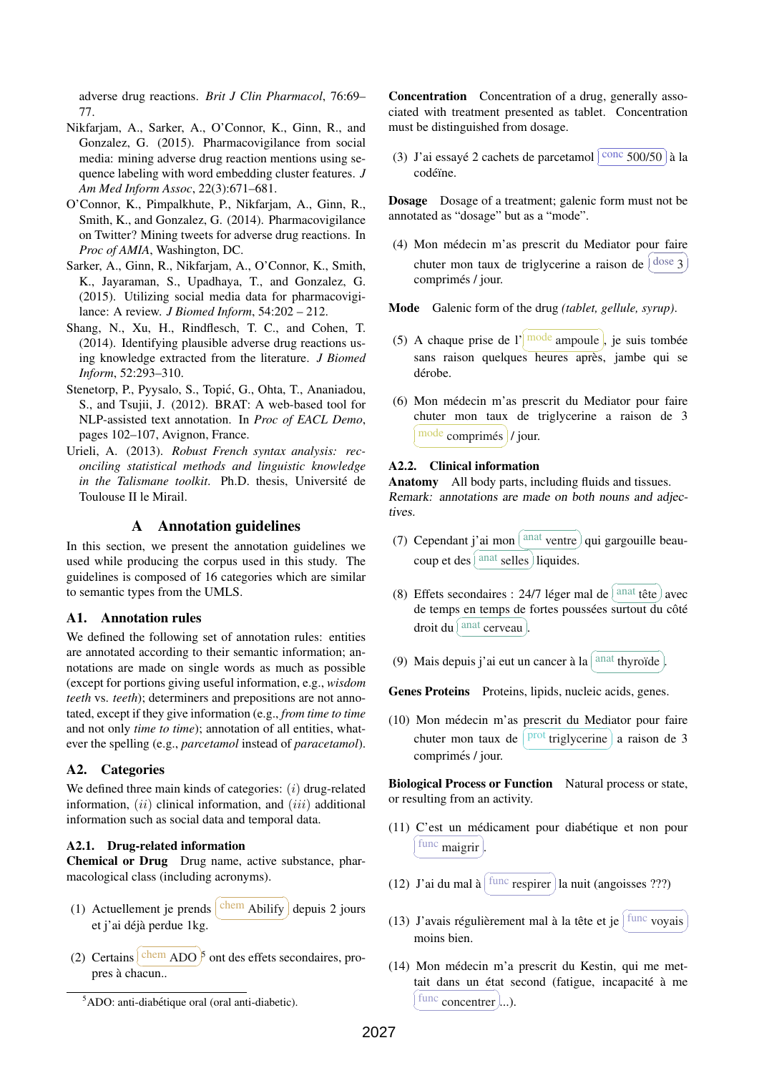adverse drug reactions. *Brit J Clin Pharmacol*, 76:69– 77.

- Nikfarjam, A., Sarker, A., O'Connor, K., Ginn, R., and Gonzalez, G. (2015). Pharmacovigilance from social media: mining adverse drug reaction mentions using sequence labeling with word embedding cluster features. *J Am Med Inform Assoc*, 22(3):671–681.
- O'Connor, K., Pimpalkhute, P., Nikfarjam, A., Ginn, R., Smith, K., and Gonzalez, G. (2014). Pharmacovigilance on Twitter? Mining tweets for adverse drug reactions. In *Proc of AMIA*, Washington, DC.
- Sarker, A., Ginn, R., Nikfarjam, A., O'Connor, K., Smith, K., Jayaraman, S., Upadhaya, T., and Gonzalez, G. (2015). Utilizing social media data for pharmacovigilance: A review. *J Biomed Inform*, 54:202 – 212.
- Shang, N., Xu, H., Rindflesch, T. C., and Cohen, T. (2014). Identifying plausible adverse drug reactions using knowledge extracted from the literature. *J Biomed Inform*, 52:293–310.
- Stenetorp, P., Pyysalo, S., Topic, G., Ohta, T., Ananiadou, ´ S., and Tsujii, J. (2012). BRAT: A web-based tool for NLP-assisted text annotation. In *Proc of EACL Demo*, pages 102–107, Avignon, France.
- Urieli, A. (2013). *Robust French syntax analysis: reconciling statistical methods and linguistic knowledge in the Talismane toolkit*. Ph.D. thesis, Université de Toulouse II le Mirail.

### A Annotation guidelines

In this section, we present the annotation guidelines we used while producing the corpus used in this study. The guidelines is composed of 16 categories which are similar to semantic types from the UMLS.

### A1. Annotation rules

We defined the following set of annotation rules: entities are annotated according to their semantic information; annotations are made on single words as much as possible (except for portions giving useful information, e.g., *wisdom teeth* vs. *teeth*); determiners and prepositions are not annotated, except if they give information (e.g., *from time to time* and not only *time to time*); annotation of all entities, whatever the spelling (e.g., *parcetamol* instead of *paracetamol*).

### A2. Categories

We defined three main kinds of categories:  $(i)$  drug-related information,  $(ii)$  clinical information, and  $(iii)$  additional information such as social data and temporal data.

### A2.1. Drug-related information

Chemical or Drug Drug name, active substance, pharmacological class (including acronyms).

- (1) Actuellement je prends  $\overline{a}$ ✝ ☎ ✆  $\frac{\text{chem}}{\text{Ablify}}$  depuis 2 jours et j'ai déjà perdue 1kg.
- (2) Certains  $\sqrt{1}$ ectums<br>pres à chacun..  $\frac{\text{chem}}{\text{ADO}}$ <sup>5</sup> ont des effets secondaires, pro-

Concentration Concentration of a drug, generally associated with treatment presented as tablet. Concentration must be distinguished from dosage.

(3) J'ai essayé 2 cachets de parcetamol  $\lceil$  $\overline{a}$ Ĭ.  $\frac{\text{conc}}{\text{500}}$  à la codéïne.

Dosage Dosage of a treatment; galenic form must not be annotated as "dosage" but as a "mode".

(4) Mon medecin m'as prescrit du Mediator pour faire ´ chuter mon taux de triglycerine a raison de  $\frac{a}{c}$  $\left(\frac{\text{dose}}{3}\right)$  $\tilde{a}$ ✆ comprimés / jour.

Mode Galenic form of the drug *(tablet, gellule, syrup)*.

- (5) A chaque prise de l' mode ampoule, je suis tombée  $\frac{1}{\pi}$  sans raison quelques heures après, jambe qui se dérobe.
- (6) Mon medecin m'as prescrit du Mediator pour faire ´ chuter mon taux de triglycerine a raison de 3 ✝ ☎ ✆ mode comprimés / jour.

### A2.2. Clinical information

Anatomy All body parts, including fluids and tissues. Remark: annotations are made on both nouns and adjectives.

- (7) Cependant j'ai mon  $\sqrt{a}$  $\overline{\phantom{0}}$  $\frac{\text{anat}}{\sqrt{\text{right}}}$  qui gargouille beaucoup et des  $\overline{C}$ ✝  $\frac{1}{2}$  $\frac{\text{anat} \text{ sellers}}{\text{liquides}}$ .
- $(8)$  Effets secondaires : 24/7 léger mal de anat tête avec de temps en temps de fortes poussées surtout du côté droit du ✞  $\boxed{\text{and} \text{cerveau}}$ .  $^{\bullet}$
- (9) Mais depuis j'ai eut un cancer a la `  $\epsilon$ ✝ anat thyroïde. ✆

Genes Proteins Proteins, lipids, nucleic acids, genes.

(10) Mon medecin m'as prescrit du Mediator pour faire ´ chuter mon taux de Ë ✝ u،<br>۱ ✆  $\frac{\text{prot}}{\text{triglycerine}}$  a raison de 3 comprimés / jour.

Biological Process or Function Natural process or state, or resulting from an activity.

- (11) C'est un médicament pour diabétique et non pour ✝ ✆ func maigrir.
- (12) J'ai du mal a`  $\epsilon$ ✝ ☎ ✆ func respirer la nuit (angoisses ???)
- (13) J'avais régulièrement mal à la tête et je  $\sqrt{2}$ ✝ ☎ ✆ func voyais moins bien.
- (14) Mon medecin m'a prescrit du Kestin, qui me met- ´ tait dans un état second (fatigue, incapacité à me ✝ u<br>V func concentrer ......

 $5$ ADO: anti-diabétique oral (oral anti-diabetic).